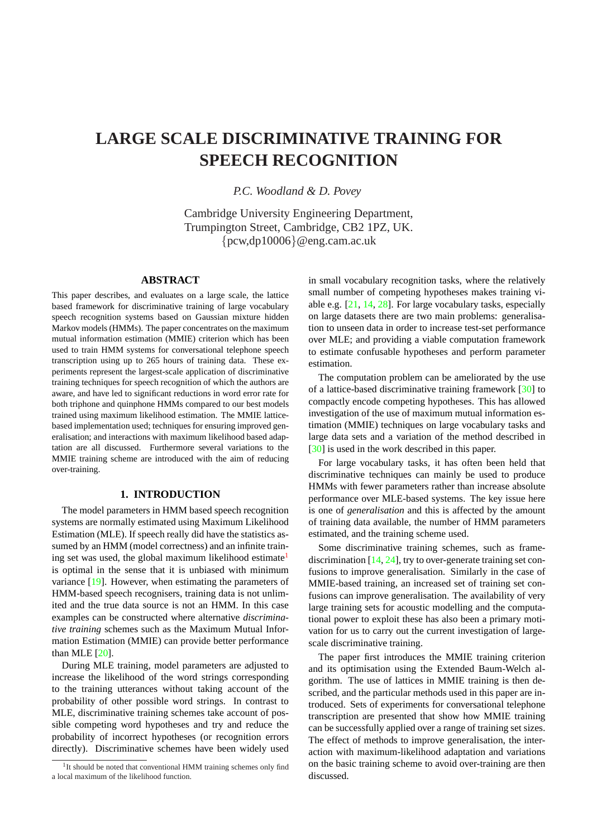# **LARGE SCALE DISCRIMINATIVE TRAINING FOR SPEECH RECOGNITION**

*P.C. Woodland & D. Povey*

Cambridge University Engineering Department, Trumpington Street, Cambridge, CB2 1PZ, UK. {pcw,dp10006}@eng.cam.ac.uk

# **ABSTRACT**

This paper describes, and evaluates on a large scale, the lattice based framework for discriminative training of large vocabulary speech recognition systems based on Gaussian mixture hidden Markov models (HMMs). The paper concentrates on the maximum mutual information estimation (MMIE) criterion which has been used to train HMM systems for conversational telephone speech transcription using up to 265 hours of training data. These experiments represent the largest-scale application of discriminative training techniques for speech recognition of which the authors are aware, and have led to significant reductions in word error rate for both triphone and quinphone HMMs compared to our best models trained using maximum likelihood estimation. The MMIE latticebased implementation used; techniques for ensuring improved generalisation; and interactions with maximum likelihood based adaptation are all discussed. Furthermore several variations to the MMIE training scheme are introduced with the aim of reducing over-training.

## **1. INTRODUCTION**

The model parameters in HMM based speech recognition systems are normally estimated using Maximum Likelihood Estimation (MLE). If speech really did have the statistics assumed by an HMM (model correctness) and an infinite training set was used, the global maximum likelihood estimate<sup>1</sup> is optimal in the sense that it is unbiased with minimum variance [19]. However, when estimating the parameters of HMM-based speech recognisers, training data is not unlimited and the true data source is not an HMM. In this case examples can be constructed where alternative *discriminative train[ing](#page-9-0)* schemes such as the Maximum Mutual Information Estimation (MMIE) can provide better performance than MLE  $[20]$ .

During MLE training, model parameters are adjusted to increase the likelihood of the word strings corresponding to the training utterances without taking account of the probability [of](#page-9-0) other possible word strings. In contrast to MLE, discriminative training schemes take account of possible competing word hypotheses and try and reduce the probability of incorrect hypotheses (or recognition errors directly). Discriminative schemes have been widely used in small vocabulary recognition tasks, where the relatively small number of competing hypotheses makes training viable e.g. [21, 14, 28]. For large vocabulary tasks, especially on large datasets there are two main problems: generalisation to unseen data in order to increase test-set performance over MLE; and providing a viable computation framework to estima[te confusab](#page-9-0)le hypotheses and perform parameter estimation.

The computation problem can be ameliorated by the use of a lattice-based discriminative training framework [30] to compactly encode competing hypotheses. This has allowed investigation of the use of maximum mutual information estimation (MMIE) techniques on large vocabulary tasks and large data sets and a variation of the method descri[bed](#page-9-0) in [30] is used in the work described in this paper.

For large vocabulary tasks, it has often been held that discriminative techniques can mainly be used to produce HMMs with fewer parameters rather than increase absolute [perf](#page-9-0)ormance over MLE-based systems. The key issue here is one of *generalisation* and this is affected by the amount of training data available, the number of HMM parameters estimated, and the training scheme used.

Some discriminative training schemes, such as framediscrimination [14, 24], try to over-generate training set confusions to improve generalisation. Similarly in the case of MMIE-based training, an increased set of training set confusions can improve generalisation. The availability of very large training s[ets for](#page-9-0) acoustic modelling and the computational power to exploit these has also been a primary motivation for us to carry out the current investigation of largescale discriminative training.

The paper first introduces the MMIE training criterion and its optimisation using the Extended Baum-Welch algorithm. The use of lattices in MMIE training is then described, and the particular methods used in this paper are introduced. Sets of experiments for conversational telephone transcription are presented that show how MMIE training can be successfully applied over a range of training set sizes. The effect of methods to improve generalisation, the interaction with maximum-likelihood adaptation and variations on the basic training scheme to avoid over-training are then discussed.

<sup>&</sup>lt;sup>1</sup>It should be noted that conventional HMM training schemes only find a local maximum of the likelihood function.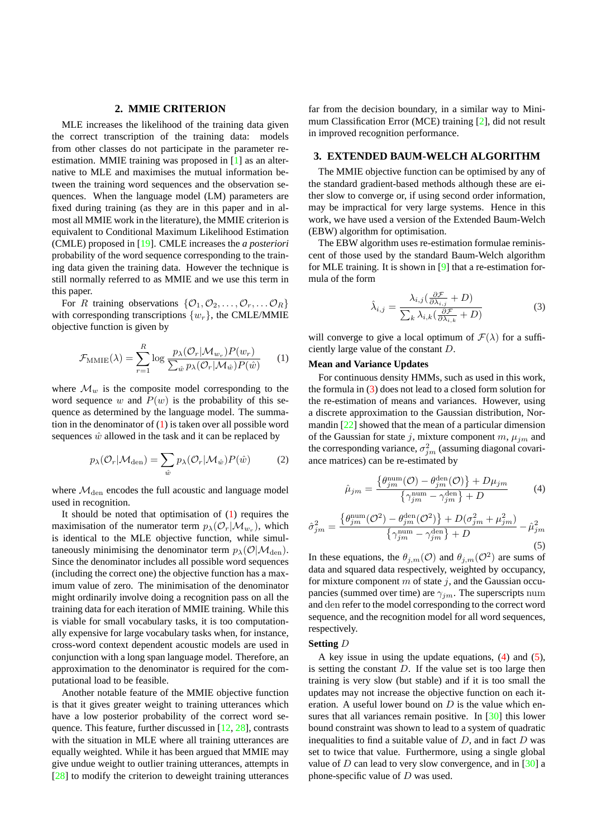#### **2. MMIE CRITERION**

<span id="page-1-0"></span>MLE increases the likelihood of the training data given the correct transcription of the training data: models from other classes do not participate in the parameter reestimation. MMIE training was proposed in [1] as an alternative to MLE and maximises the mutual information between the training word sequences and the observation sequences. When the language model (LM) parameters are fixed during training (as they are in this pa[pe](#page-9-0)r and in almost all MMIE work in the literature), the MMIE criterion is equivalent to Conditional Maximum Likelihood Estimation (CMLE) proposed in [19]. CMLE increases the *a posteriori* probability of the word sequence corresponding to the training data given the training data. However the technique is still normally referred to as MMIE and we use this term in this paper.

For R training observations  $\{\mathcal{O}_1, \mathcal{O}_2, \ldots, \mathcal{O}_r, \ldots \mathcal{O}_R\}$ with corresponding transcriptions  $\{w_r\}$ , the CMLE/MMIE objective function is given by

$$
\mathcal{F}_{\text{MMIE}}(\lambda) = \sum_{r=1}^{R} \log \frac{p_{\lambda}(\mathcal{O}_{r} | \mathcal{M}_{w_r}) P(w_r)}{\sum_{\hat{w}} p_{\lambda}(\mathcal{O}_{r} | \mathcal{M}_{\hat{w}}) P(\hat{w})}
$$
(1)

where  $\mathcal{M}_w$  is the composite model corresponding to the word sequence w and  $P(w)$  is the probability of this sequence as determined by the language model. The summation in the denominator of  $(1)$  is taken over all possible word sequences  $\hat{w}$  allowed in the task and it can be replaced by

$$
p_{\lambda}(\mathcal{O}_{r}|\mathcal{M}_{\text{den}}) = \sum_{\hat{w}} p_{\lambda}(\mathcal{O}_{r}|\mathcal{M}_{\hat{w}}) P(\hat{w})
$$
 (2)

where  $\mathcal{M}_{den}$  encodes the full acoustic and language model used in recognition.

It should be noted that optimisation of  $(1)$  requires the maximisation of the numerator term  $p_{\lambda}(\mathcal{O}_r|\mathcal{M}_{w_r})$ , which is identical to the MLE objective function, while simultaneously minimising the denominator term  $p_{\lambda}(\mathcal{O}|\mathcal{M}_{den})$ . Since the denominator includes all possible word sequences (including the correct one) the objective function has a maximum value of zero. The minimisation of the denominator might ordinarily involve doing a recognition pass on all the training data for each iteration of MMIE training. While this is viable for small vocabulary tasks, it is too computationally expensive for large vocabulary tasks when, for instance, cross-word context dependent acoustic models are used in conjunction with a long span language model. Therefore, an approximation to the denominator is required for the computational load to be feasible.

Another notable feature of the MMIE objective function is that it gives greater weight to training utterances which have a low posterior probability of the correct word sequence. This feature, further discussed in [12, 28], contrasts with the situation in MLE where all training utterances are equally weighted. While it has been argued that MMIE may give undue weight to outlier training utterances, attempts in [28] to modify the criterion to deweight t[raining](#page-9-0) utterances

far from the decision boundary, in a similar way to Minimum Classification Error (MCE) training [2], did not result in improved recognition performance.

## **3. EXTENDED BAUM-WELCH ALGORITHM**

The MMIE objective function can be op[tim](#page-9-0)ised by any of the standard gradient-based methods although these are either slow to converge or, if using second order information, may be impractical for very large systems. Hence in this work, we have used a version of the Extended Baum-Welch (EBW) algorithm for optimisation.

The EBW algorithm uses re-estimation formulae reminiscent of those used by the standard Baum-Welch algorithm for MLE training. It is shown in [9] that a re-estimation formula of the form

$$
\hat{\lambda}_{i,j} = \frac{\lambda_{i,j}(\frac{\partial \mathcal{F}}{\partial \lambda_{i,j}} + D)}{\sum_{k} \lambda_{i,k}(\frac{\partial \mathcal{F}}{\partial \lambda_{i,k}} + D)}
$$
(3)

will converge to give a local optimum of  $\mathcal{F}(\lambda)$  for a sufficiently large value of the constant D.

#### **Mean and Variance Updates**

For continuous density HMMs, such as used in this work, the formula in (3) does not lead to a closed form solution for the re-estimation of means and variances. However, using a discrete approximation to the Gaussian distribution, Normandin [22] showed that the mean of a particular dimension of the Gaussian for state j, mixture component  $m$ ,  $\mu_{jm}$  and the corresponding variance,  $\sigma_{jm}^2$  (assuming diagonal covariance matrices) can be re-estimated by

$$
\hat{\mu}_{jm} = \frac{\{\theta_{jm}^{\text{num}}(\mathcal{O}) - \theta_{jm}^{\text{den}}(\mathcal{O})\} + D\mu_{jm}}{\{\gamma_{jm}^{\text{num}} - \gamma_{jm}^{\text{den}}\} + D}
$$
(4)

$$
\hat{\sigma}_{jm}^2 = \frac{\left\{\theta_{jm}^{\text{num}}(\mathcal{O}^2) - \theta_{jm}^{\text{den}}(\mathcal{O}^2)\right\} + D(\sigma_{jm}^2 + \mu_{jm}^2)}{\left\{\gamma_{jm}^{\text{num}} - \gamma_{jm}^{\text{den}}\right\} + D} - \hat{\mu}_{jm}^2
$$
\n(5)

In these equations, the  $\theta_{j,m}(\mathcal{O})$  and  $\theta_{j,m}(\mathcal{O}^2)$  are sums of data and squared data respectively, weighted by occupancy, for mixture component  $m$  of state  $j$ , and the Gaussian occupancies (summed over time) are  $\gamma_{jm}$ . The superscripts num and den refer to the model corresponding to the correct word sequence, and the recognition model for all word sequences, respectively.

#### **Setting** D

A key issue in using the update equations, (4) and (5), is setting the constant  $D$ . If the value set is too large then training is very slow (but stable) and if it is too small the updates may not increase the objective function on each iteration. A useful lower bound on  $D$  is the value which ensures that all variances remain positive. In [30] this lower bound constraint was shown to lead to a system of quadratic inequalities to find a suitable value of  $D$ , and in fact  $D$  was set to twice that value. Furthermore, using a single global value of  $D$  can lead to very slow convergenc[e, an](#page-9-0)d in [30] a phone-specific value of  $D$  was used.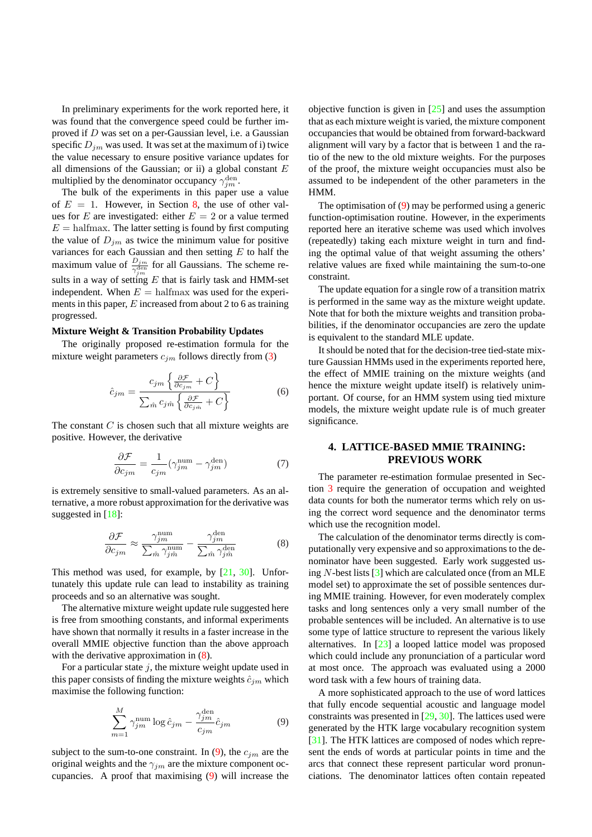In preliminary experiments for the work reported here, it was found that the convergence speed could be further improved if D was set on a per-Gaussian level, i.e. a Gaussian specific  $D_{im}$  was used. It was set at the maximum of i) twice the value necessary to ensure positive variance updates for all dimensions of the Gaussian; or ii) a global constant  $E$ multiplied by the denominator occupancy  $\gamma_{jm}^{\text{den}}$ .

The bulk of the experiments in this paper use a value of  $E = 1$ . However, in Section 8, the use of other values for E are investigated: either  $E = 2$  or a value termed  $E =$  halfmax. The latter setting is found by first computing the value of  $D_{im}$  as twice the minimum value for positive variances for each Gaussian and t[hen](#page-7-0) setting  $E$  to half the maximum value of  $\frac{D_{jm}}{\gamma_{im}^{den}}$  for all Gaussians. The scheme results in a way of setting E that is fairly task and HMM-set independent. When  $E = \text{halfmax}$  was used for the experiments in this paper,  $E$  increased from about 2 to 6 as training progressed.

#### **Mixture Weight & Transition Probability Updates**

The originally proposed re-estimation formula for the mixture weight parameters  $c_{jm}$  follows directly from (3)

$$
\hat{c}_{jm} = \frac{c_{jm} \left\{ \frac{\partial \mathcal{F}}{\partial c_{jm}} + C \right\}}{\sum_{\hat{m}} c_{jm} \left\{ \frac{\partial \mathcal{F}}{\partial c_{jm}} + C \right\}}
$$
(6)

The constant  $C$  is chosen such that all mixture weights are positive. However, the derivative

$$
\frac{\partial \mathcal{F}}{\partial c_{jm}} = \frac{1}{c_{jm}} (\gamma_{jm}^{\text{num}} - \gamma_{jm}^{\text{den}})
$$
(7)

is extremely sensitive to small-valued parameters. As an alternative, a more robust approximation for the derivative was suggested in [18]:

$$
\frac{\partial \mathcal{F}}{\partial c_{jm}} \approx \frac{\gamma_{jm}^{\text{num}}}{\sum_{\hat{m}} \gamma_{j\hat{m}}^{\text{num}}} - \frac{\gamma_{jm}^{\text{den}}}{\sum_{\hat{m}} \gamma_{j\hat{m}}^{\text{den}}}
$$
(8)

This method [wa](#page-9-0)s used, for example, by  $[21, 30]$ . Unfortunately this update rule can lead to instability as training proceeds and so an alternative was sought.

The alternative mixture weight update rule suggested here is free from smoothing constants, and info[rma](#page-9-0)l [exp](#page-9-0)eriments have shown that normally it results in a faster increase in the overall MMIE objective function than the above approach with the derivative approximation in  $(8)$ .

For a particular state  $j$ , the mixture weight update used in this paper consists of finding the mixture weights  $\hat{c}_{jm}$  which maximise the following function:

$$
\sum_{m=1}^{M} \gamma_{jm}^{\text{num}} \log \hat{c}_{jm} - \frac{\gamma_{jm}^{\text{den}}}{c_{jm}} \hat{c}_{jm} \tag{9}
$$

subject to the sum-to-one constraint. In (9), the  $c_{jm}$  are the original weights and the  $\gamma_{im}$  are the mixture component occupancies. A proof that maximising (9) will increase the objective function is given in  $[25]$  and uses the assumption that as each mixture weight is varied, the mixture component occupancies that would be obtained from forward-backward alignment will vary by a factor that is between 1 and the ratio of the new to the old mixt[ure w](#page-9-0)eights. For the purposes of the proof, the mixture weight occupancies must also be assumed to be independent of the other parameters in the HMM.

The optimisation of (9) may be performed using a generic function-optimisation routine. However, in the experiments reported here an iterative scheme was used which involves (repeatedly) taking each mixture weight in turn and finding the optimal value of that weight assuming the others' relative values are fixed while maintaining the sum-to-one constraint.

The update equation for a single row of a transition matrix is performed in the same way as the mixture weight update. Note that for both the mixture weights and transition probabilities, if the denominator occupancies are zero the update is equivalent to the standard MLE update.

It should be noted that for the decision-tree tied-state mixture Gaussian HMMs used in the experiments reported here, the effect of MMIE training on the mixture weights (and hence the mixture weight update itself) is relatively unimportant. Of course, for an HMM system using tied mixture models, the mixture weight update rule is of much greater significance.

# **4. LATTICE-BASED MMIE TRAINING: PREVIOUS WORK**

The parameter re-estimation formulae presented in Section 3 require the generation of occupation and weighted data counts for both the numerator terms which rely on using the correct word sequence and the denominator terms which use the recognition model.

T[he](#page-1-0) calculation of the denominator terms directly is computationally very expensive and so approximations to the denominator have been suggested. Early work suggested using  $N$ -best lists  $[3]$  which are calculated once (from an MLE model set) to approximate the set of possible sentences during MMIE training. However, for even moderately complex tasks and long sentences only a very small number of the probable senten[ces](#page-9-0) will be included. An alternative is to use some type of lattice structure to represent the various likely alternatives. In [23] a looped lattice model was proposed which could include any pronunciation of a particular word at most once. The approach was evaluated using a 2000 word task with a few hours of training data.

A more sophis[tica](#page-9-0)ted approach to the use of word lattices that fully encode sequential acoustic and language model constraints was presented in [29, 30]. The lattices used were generated by the HTK large vocabulary recognition system [31]. The HTK lattices are composed of nodes which represent the ends of words at particular points in time and the arcs that connect these repr[esent p](#page-9-0)articular word pronunciations. The denominator lattices often contain repeated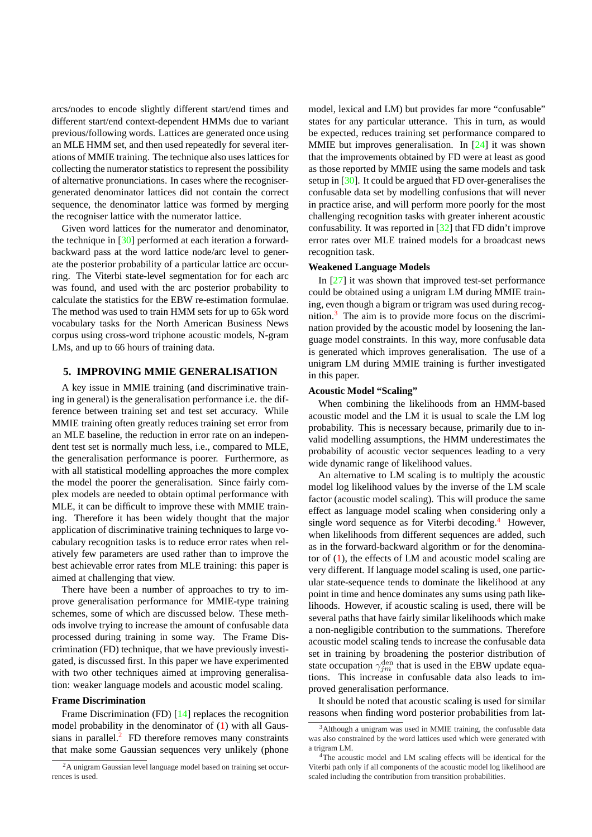arcs/nodes to encode slightly different start/end times and different start/end context-dependent HMMs due to variant previous/following words. Lattices are generated once using an MLE HMM set, and then used repeatedly for several iterations of MMIE training. The technique also uses lattices for collecting the numerator statistics to represent the possibility of alternative pronunciations. In cases where the recognisergenerated denominator lattices did not contain the correct sequence, the denominator lattice was formed by merging the recogniser lattice with the numerator lattice.

Given word lattices for the numerator and denominator, the technique in [30] performed at each iteration a forwardbackward pass at the word lattice node/arc level to generate the posterior probability of a particular lattice arc occurring. The Viterbi state-level segmentation for for each arc was found, and [used](#page-9-0) with the arc posterior probability to calculate the statistics for the EBW re-estimation formulae. The method was used to train HMM sets for up to 65k word vocabulary tasks for the North American Business News corpus using cross-word triphone acoustic models, N-gram LMs, and up to 66 hours of training data.

## **5. IMPROVING MMIE GENERALISATION**

A key issue in MMIE training (and discriminative training in general) is the generalisation performance i.e. the difference between training set and test set accuracy. While MMIE training often greatly reduces training set error from an MLE baseline, the reduction in error rate on an independent test set is normally much less, i.e., compared to MLE, the generalisation performance is poorer. Furthermore, as with all statistical modelling approaches the more complex the model the poorer the generalisation. Since fairly complex models are needed to obtain optimal performance with MLE, it can be difficult to improve these with MMIE training. Therefore it has been widely thought that the major application of discriminative training techniques to large vocabulary recognition tasks is to reduce error rates when relatively few parameters are used rather than to improve the best achievable error rates from MLE training: this paper is aimed at challenging that view.

There have been a number of approaches to try to improve generalisation performance for MMIE-type training schemes, some of which are discussed below. These methods involve trying to increase the amount of confusable data processed during training in some way. The Frame Discrimination (FD) technique, that we have previously investigated, is discussed first. In this paper we have experimented with two other techniques aimed at improving generalisation: weaker language models and acoustic model scaling.

## **Frame Discrimination**

Frame Discrimination (FD) [14] replaces the recognition model probability in the denominator of (1) with all Gaussians in parallel. $<sup>2</sup>$  FD therefore removes many constraints</sup> that make some Gaussian sequences very unlikely (phone model, lexical and LM) but provides far more "confusable" states for any particular utterance. This in turn, as would be expected, reduces training set performance compared to MMIE but improves generalisation. In  $[24]$  it was shown that the improvements obtained by FD were at least as good as those reported by MMIE using the same models and task setup in [30]. It could be argued that FD over-generalises the confusable data set by modelling confusi[ons](#page-9-0) that will never in practice arise, and will perform more poorly for the most challenging recognition tasks with greater inherent acoustic confusa[bilit](#page-9-0)y. It was reported in [32] that FD didn't improve error rates over MLE trained models for a broadcast news recognition task.

#### **Weakened Language Models**

In  $[27]$  it was shown that imp[rov](#page-9-0)ed test-set performance could be obtained using a unigram LM during MMIE training, even though a bigram or trigram was used during recognition. $3$  The aim is to provide more focus on the discriminatio[n pro](#page-9-0)vided by the acoustic model by loosening the language model constraints. In this way, more confusable data is generated which improves generalisation. The use of a unigram LM during MMIE training is further investigated in this paper.

#### **Acoustic Model "Scaling"**

When combining the likelihoods from an HMM-based acoustic model and the LM it is usual to scale the LM log probability. This is necessary because, primarily due to invalid modelling assumptions, the HMM underestimates the probability of acoustic vector sequences leading to a very wide dynamic range of likelihood values.

An alternative to LM scaling is to multiply the acoustic model log likelihood values by the inverse of the LM scale factor (acoustic model scaling). This will produce the same effect as language model scaling when considering only a single word sequence as for Viterbi decoding.<sup>4</sup> However, when likelihoods from different sequences are added, such as in the forward-backward algorithm or for the denominator of (1), the effects of LM and acoustic model scaling are very different. If language model scaling is used, one particular state-sequence tends to dominate the likelihood at any point in time and hence dominates any sums using path likelihood[s.](#page-1-0) However, if acoustic scaling is used, there will be several paths that have fairly similar likelihoods which make a non-negligible contribution to the summations. Therefore acoustic model scaling tends to increase the confusable data set in training by broadening the posterior distribution of state occupation  $\gamma_{jm}^{\text{den}}$  that is used in the EBW update equations. This increase in confusable data also leads to improved generalisation performance.

It should be noted that acoustic scaling is used for similar reasons when finding word posterior probabilities from lat-

<sup>2</sup>A unigram Gaussian level languag[e mo](#page-9-0)del based on training set occurrences is used.

<sup>&</sup>lt;sup>3</sup>Although a unigram was used in MMIE training, the confusable data was also constrained by the word lattices used which were generated with a trigram LM.

<sup>&</sup>lt;sup>4</sup>The acoustic model and LM scaling effects will be identical for the Viterbi path only if all components of the acoustic model log likelihood are scaled including the contribution from transition probabilities.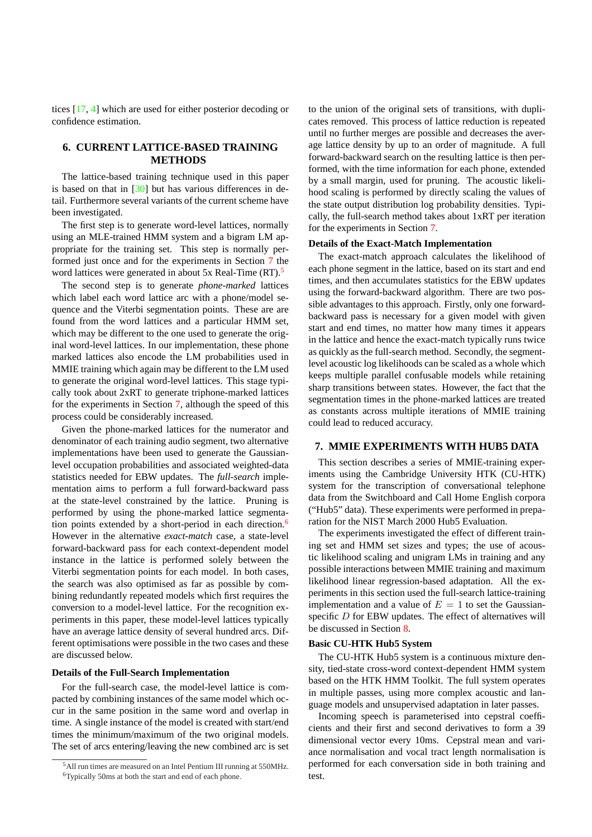tices [17, 4] which are used for either posterior decoding or confidence estimation.

# **6. CURRENT LATTICE-BASED TRAINING METHODS**

The lattice-based training technique used in this paper is based on that in [30] but has various differences in detail. Furthermore several variants of the current scheme have been investigated.

The first step is to generate word-level lattices, normally using an MLE-train[ed H](#page-9-0)MM system and a bigram LM appropriate for the training set. This step is normally performed just once and for the experiments in Section 7 the word lattices were generated in about 5x Real-Time (RT).<sup>5</sup>

The second step is to generate *phone-marked* lattices which label each word lattice arc with a phone/model sequence and the Viterbi segmentation points. These are are found from the word lattices and a particular HMM set, which may be different to the one used to generate the original word-level lattices. In our implementation, these phone marked lattices also encode the LM probabilities used in MMIE training which again may be different to the LM used to generate the original word-level lattices. This stage typically took about 2xRT to generate triphone-marked lattices for the experiments in Section 7, although the speed of this process could be considerably increased.

Given the phone-marked lattices for the numerator and denominator of each training audio segment, two alternative implementations have been used to generate the Gaussianlevel occupation probabilities and associated weighted-data statistics needed for EBW updates. The *full-search* implementation aims to perform a full forward-backward pass at the state-level constrained by the lattice. Pruning is performed by using the phone-marked lattice segmentation points extended by a short-period in each direction.<sup>6</sup> However in the alternative *exact-match* case, a state-level forward-backward pass for each context-dependent model instance in the lattice is performed solely between the Viterbi segmentation points for each model. In both cases, the search was also optimised as far as possible by combining redundantly repeated models which first requires the conversion to a model-level lattice. For the recognition experiments in this paper, these model-level lattices typically have an average lattice density of several hundred arcs. Different optimisations were possible in the two cases and these are discussed below.

#### **Details of the Full-Search Implementation**

For the full-search case, the model-level lattice is compacted by combining instances of the same model which occur in the same position in the same word and overlap in time. A single instance of the model is created with start/end times the minimum/maximum of the two original models. The set of arcs entering/leaving the new combined arc is set to the union of the original sets of transitions, with duplicates removed. This process of lattice reduction is repeated until no further merges are possible and decreases the average lattice density by up to an order of magnitude. A full forward-backward search on the resulting lattice is then performed, with the time information for each phone, extended by a small margin, used for pruning. The acoustic likelihood scaling is performed by directly scaling the values of the state output distribution log probability densities. Typically, the full-search method takes about 1xRT per iteration for the experiments in Section 7.

#### **Details of the Exact-Match Implementation**

The exact-match approach calculates the likelihood of each phone segment in the lattice, based on its start and end times, and then accumulates statistics for the EBW updates using the forward-backward algorithm. There are two possible advantages to this approach. Firstly, only one forwardbackward pass is necessary for a given model with given start and end times, no matter how many times it appears in the lattice and hence the exact-match typically runs twice as quickly as the full-search method. Secondly, the segmentlevel acoustic log likelihoods can be scaled as a whole which keeps multiple parallel confusable models while retaining sharp transitions between states. However, the fact that the segmentation times in the phone-marked lattices are treated as constants across multiple iterations of MMIE training could lead to reduced accuracy.

## **7. MMIE EXPERIMENTS WITH HUB5 DATA**

This section describes a series of MMIE-training experiments using the Cambridge University HTK (CU-HTK) system for the transcription of conversational telephone data from the Switchboard and Call Home English corpora ("Hub5" data). These experiments were performed in preparation for the NIST March 2000 Hub5 Evaluation.

The experiments investigated the effect of different training set and HMM set sizes and types; the use of acoustic likelihood scaling and unigram LMs in training and any possible interactions between MMIE training and maximum likelihood linear regression-based adaptation. All the experiments in this section used the full-search lattice-training implementation and a value of  $E = 1$  to set the Gaussianspecific D for EBW updates. The effect of alternatives will be discussed in Section 8.

#### **Basic CU-HTK Hub5 System**

The CU-HTK Hub5 system is a continuous mixture density, tied-state cross-word context-dependent HMM system based on the HTK HM[M](#page-7-0) Toolkit. The full system operates in multiple passes, using more complex acoustic and language models and unsupervised adaptation in later passes.

Incoming speech is parameterised into cepstral coefficients and their first and second derivatives to form a 39 dimensional vector every 10ms. Cepstral mean and variance normalisation and vocal tract length normalisation is performed for each conversation side in both training and test.

<sup>5</sup>All run times are measured on an Intel Pentium III running at 550MHz. <sup>6</sup>Typically 50ms at both the start and end of each phone.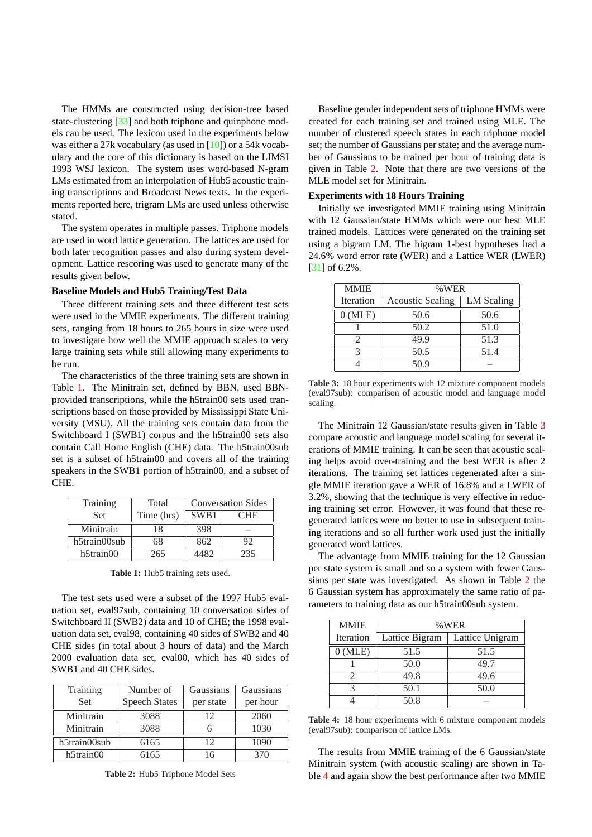The HMMs are constructed using decision-tree based state-clustering [33] and both triphone and quinphone models can be used. The lexicon used in the experiments below was either a 27k vocabulary (as used in [10]) or a 54k vocabulary and the core of this dictionary is based on the LIMSI 1993 WSJ lexic[on.](#page-9-0) The system uses word-based N-gram LMs estimated from an interpolation of Hub5 acoustic training transcriptions and Broadcast News [tex](#page-9-0)ts. In the experiments reported here, trigram LMs are used unless otherwise stated.

The system operates in multiple passes. Triphone models are used in word lattice generation. The lattices are used for both later recognition passes and also during system development. Lattice rescoring was used to generate many of the results given below.

## **Baseline Models and Hub5 Training/Test Data**

Three different training sets and three different test sets were used in the MMIE experiments. The different training sets, ranging from 18 hours to 265 hours in size were used to investigate how well the MMIE approach scales to very large training sets while still allowing many experiments to be run.

The characteristics of the three training sets are shown in Table 1. The Minitrain set, defined by BBN, used BBNprovided transcriptions, while the h5train00 sets used transcriptions based on those provided by Mississippi State University (MSU). All the training sets contain data from the Switchboard I (SWB1) corpus and the h5train00 sets also contain Call Home English (CHE) data. The h5train00sub set is a subset of h5train00 and covers all of the training speakers in the SWB1 portion of h5train00, and a subset of CHE.

| Training     | Total      | <b>Conversation Sides</b> |     |
|--------------|------------|---------------------------|-----|
| <b>Set</b>   | Time (hrs) | SWB1                      | CHE |
| Minitrain    | 18         | 398                       |     |
| h5train00sub | 68         | 862                       | 92  |
| $h5$ train00 | 265        | 4482                      | 235 |

**Table 1:** Hub5 training sets used.

The test sets used were a subset of the 1997 Hub5 evaluation set, eval97sub, containing 10 conversation sides of Switchboard II (SWB2) data and 10 of CHE; the 1998 evaluation data set, eval98, containing 40 sides of SWB2 and 40 CHE sides (in total about 3 hours of data) and the March 2000 evaluation data set, eval00, which has 40 sides of SWB1 and 40 CHE sides.

| Training     | Number of            | Gaussians | Gaussians |
|--------------|----------------------|-----------|-----------|
| <b>Set</b>   | <b>Speech States</b> | per state | per hour  |
| Minitrain    | 3088                 | 12        | 2060      |
| Minitrain    | 3088                 |           | 1030      |
| h5train00sub | 6165                 | 12        | 1090      |
| $h5$ train00 | 6165                 | 16        | 370       |

**Table 2:** Hub5 Triphone Model Sets

Baseline gender independent sets of triphone HMMs were created for each training set and trained using MLE. The number of clustered speech states in each triphone model set; the number of Gaussians per state; and the average number of Gaussians to be trained per hour of training data is given in Table 2. Note that there are two versions of the MLE model set for Minitrain.

#### **Experiments with 18 Hours Training**

Initially we investigated MMIE training using Minitrain with 12 Gaussian/state HMMs which were our best MLE trained models. Lattices were generated on the training set using a bigram LM. The bigram 1-best hypotheses had a 24.6% word error rate (WER) and a Lattice WER (LWER) [31] of 6.2%.

| <b>MMIE</b> | %WER                    |            |  |  |
|-------------|-------------------------|------------|--|--|
| Iteration   | <b>Acoustic Scaling</b> | LM Scaling |  |  |
| $0$ (MLE)   | 50.6                    | 50.6       |  |  |
|             | 50.2                    | 51.0       |  |  |
| 2           | 49.9                    | 51.3       |  |  |
| 3           | 50.5                    | 51.4       |  |  |
|             | 50.9                    |            |  |  |

**Table 3:** 18 hour experiments with 12 mixture component models (eval97sub): comparison of acoustic model and language model scaling.

The Minitrain 12 Gaussian/state results given in Table 3 compare acoustic and language model scaling for several iterations of MMIE training. It can be seen that acoustic scaling helps avoid over-training and the best WER is after 2 iterations. The training set lattices regenerated after a single MMIE iteration gave a WER of 16.8% and a LWER of 3.2%, showing that the technique is very effective in reducing training set error. However, it was found that these regenerated lattices were no better to use in subsequent training iterations and so all further work used just the initially generated word lattices.

The advantage from MMIE training for the 12 Gaussian per state system is small and so a system with fewer Gaussians per state was investigated. As shown in Table 2 the 6 Gaussian system has approximately the same ratio of parameters to training data as our h5train00sub system.

| <b>MMIE</b>      | %WER           |                 |  |
|------------------|----------------|-----------------|--|
| <b>Iteration</b> | Lattice Bigram | Lattice Unigram |  |
| $0$ (MLE)        | 51.5           | 51.5            |  |
|                  | 50.0           | 49.7            |  |
| 2.               | 49.8           | 49.6            |  |
|                  | 50.1           | 50.0            |  |
|                  | 50.8           |                 |  |

**Table 4:** 18 hour experiments with 6 mixture component models (eval97sub): comparison of lattice LMs.

The results from MMIE training of the 6 Gaussian/state Minitrain system (with acoustic scaling) are shown in Table 4 and again show the best performance after two MMIE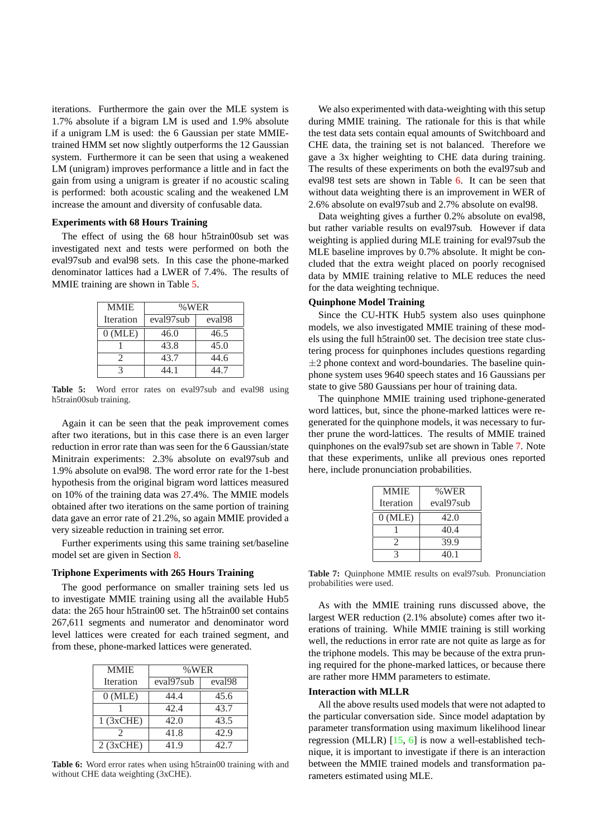iterations. Furthermore the gain over the MLE system is 1.7% absolute if a bigram LM is used and 1.9% absolute if a unigram LM is used: the 6 Gaussian per state MMIEtrained HMM set now slightly outperforms the 12 Gaussian system. Furthermore it can be seen that using a weakened LM (unigram) improves performance a little and in fact the gain from using a unigram is greater if no acoustic scaling is performed: both acoustic scaling and the weakened LM increase the amount and diversity of confusable data.

#### **Experiments with 68 Hours Training**

The effect of using the 68 hour h5train00sub set was investigated next and tests were performed on both the eval97sub and eval98 sets. In this case the phone-marked denominator lattices had a LWER of 7.4%. The results of MMIE training are shown in Table 5.

| <b>MMIE</b> | %WER                  |        |  |
|-------------|-----------------------|--------|--|
| Iteration   | eval97 <sub>sub</sub> | eval98 |  |
| $0$ (MLE)   | 46.0                  | 46.5   |  |
|             | 43.8                  | 45.0   |  |
|             | 43.7                  | 44.6   |  |
|             | 44 1                  |        |  |

**Table 5:** Word error rates on eval97sub and eval98 using h5train00sub training.

Again it can be seen that the peak improvement comes after two iterations, but in this case there is an even larger reduction in error rate than was seen for the 6 Gaussian/state Minitrain experiments: 2.3% absolute on eval97sub and 1.9% absolute on eval98. The word error rate for the 1-best hypothesis from the original bigram word lattices measured on 10% of the training data was 27.4%. The MMIE models obtained after two iterations on the same portion of training data gave an error rate of 21.2%, so again MMIE provided a very sizeable reduction in training set error.

Further experiments using this same training set/baseline model set are given in Section 8.

#### **Triphone Experiments with 265 Hours Training**

The good performance on smaller training sets led us to investigate MMIE training [us](#page-7-0)ing all the available Hub5 data: the 265 hour h5train00 set. The h5train00 set contains 267,611 segments and numerator and denominator word level lattices were created for each trained segment, and from these, phone-marked lattices were generated.

| <b>MMIE</b> | %WER         |                    |  |
|-------------|--------------|--------------------|--|
| Iteration   | eval97sub    | eval <sub>98</sub> |  |
| $0$ (MLE)   | 44.4         | 45.6               |  |
|             | 42.4         | 43.7               |  |
| $1$ (3xCHE) | 42.0         | 43.5               |  |
|             | 41.8         | 42.9               |  |
| $2$ (3xCHE) | 42.7<br>41.9 |                    |  |

**Table 6:** Word error rates when using h5train00 training with and without CHE data weighting (3xCHE).

We also experimented with data-weighting with this setup during MMIE training. The rationale for this is that while the test data sets contain equal amounts of Switchboard and CHE data, the training set is not balanced. Therefore we gave a 3x higher weighting to CHE data during training. The results of these experiments on both the eval97sub and eval98 test sets are shown in Table 6. It can be seen that without data weighting there is an improvement in WER of 2.6% absolute on eval97sub and 2.7% absolute on eval98.

Data weighting gives a further 0.2% absolute on eval98, but rather variable results on eval97sub. However if data weighting is applied during MLE training for eval97sub the MLE baseline improves by 0.7% absolute. It might be concluded that the extra weight placed on poorly recognised data by MMIE training relative to MLE reduces the need for the data weighting technique.

## **Quinphone Model Training**

Since the CU-HTK Hub5 system also uses quinphone models, we also investigated MMIE training of these models using the full h5train00 set. The decision tree state clustering process for quinphones includes questions regarding  $\pm 2$  phone context and word-boundaries. The baseline quinphone system uses 9640 speech states and 16 Gaussians per state to give 580 Gaussians per hour of training data.

The quinphone MMIE training used triphone-generated word lattices, but, since the phone-marked lattices were regenerated for the quinphone models, it was necessary to further prune the word-lattices. The results of MMIE trained quinphones on the eval97sub set are shown in Table 7. Note that these experiments, unlike all previous ones reported here, include pronunciation probabilities.

| <b>MMIE</b> | %WER      |  |  |
|-------------|-----------|--|--|
| Iteration   | eval97sub |  |  |
| $0$ (MLE)   | 42.0      |  |  |
|             | 40.4      |  |  |
| 2           | 39.9      |  |  |
|             | 40.1      |  |  |

**Table 7:** Quinphone MMIE results on eval97sub. Pronunciation probabilities were used.

As with the MMIE training runs discussed above, the largest WER reduction (2.1% absolute) comes after two iterations of training. While MMIE training is still working well, the reductions in error rate are not quite as large as for the triphone models. This may be because of the extra pruning required for the phone-marked lattices, or because there are rather more HMM parameters to estimate.

#### **Interaction with MLLR**

All the above results used models that were not adapted to the particular conversation side. Since model adaptation by parameter transformation using maximum likelihood linear regression (MLLR)  $[15, 6]$  is now a well-established technique, it is important to investigate if there is an interaction between the MMIE trained models and transformation parameters estimated using MLE.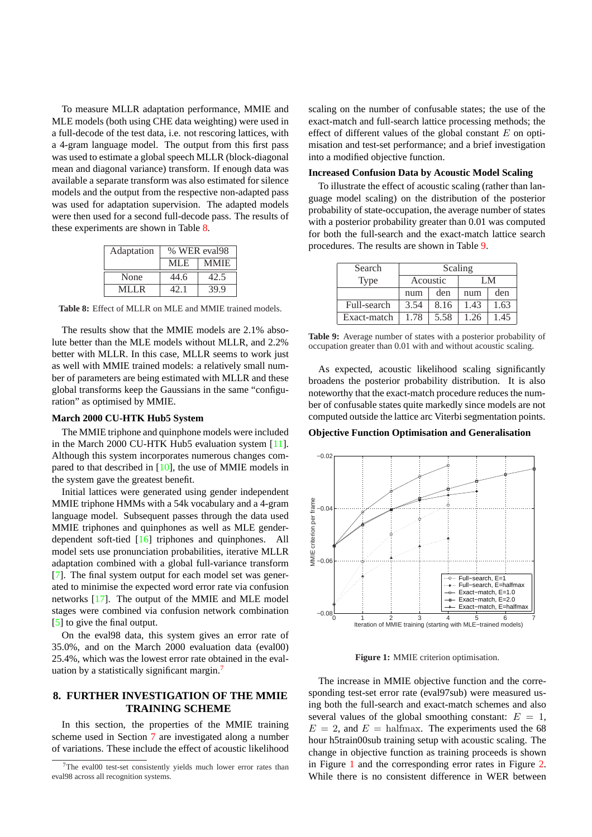<span id="page-7-0"></span>To measure MLLR adaptation performance, MMIE and MLE models (both using CHE data weighting) were used in a full-decode of the test data, i.e. not rescoring lattices, with a 4-gram language model. The output from this first pass was used to estimate a global speech MLLR (block-diagonal mean and diagonal variance) transform. If enough data was available a separate transform was also estimated for silence models and the output from the respective non-adapted pass was used for adaptation supervision. The adapted models were then used for a second full-decode pass. The results of these experiments are shown in Table 8.

| Adaptation | % WER eval98        |      |  |
|------------|---------------------|------|--|
|            | <b>MMIE</b><br>MLE. |      |  |
| None       | 44.6                | 42.5 |  |
| MLLR.      | 42.1                | 39.9 |  |

**Table 8:** Effect of MLLR on MLE and MMIE trained models.

The results show that the MMIE models are 2.1% absolute better than the MLE models without MLLR, and 2.2% better with MLLR. In this case, MLLR seems to work just as well with MMIE trained models: a relatively small number of parameters are being estimated with MLLR and these global transforms keep the Gaussians in the same "configuration" as optimised by MMIE.

#### **March 2000 CU-HTK Hub5 System**

The MMIE triphone and quinphone models were included in the March 2000 CU-HTK Hub5 evaluation system [11]. Although this system incorporates numerous changes compared to that described in [10], the use of MMIE models in the system gave the greatest benefit.

Initial lattices were generated using gender indepen[den](#page-9-0)t MMIE triphone HMMs with a 54k vocabulary and a 4-gram language model. Subsequ[ent](#page-9-0) passes through the data used MMIE triphones and quinphones as well as MLE genderdependent soft-tied [16] triphones and quinphones. All model sets use pronunciation probabilities, iterative MLLR adaptation combined with a global full-variance transform [7]. The final system output for each model set was generated to minimise the [exp](#page-9-0)ected word error rate via confusion networks [17]. The output of the MMIE and MLE model stages were combined via confusion network combination [\[5\]](#page-9-0) to give the final output.

On the eval98 data, this system gives an error rate of 35.0%, a[nd o](#page-9-0)n the March 2000 evaluation data (eval00) 25.4%, which was the lowest error rate obtained in the eval[ua](#page-9-0)tion by a statistically significant margin.<sup>7</sup>

# **8. FURTHER INVESTIGATION OF THE MMIE TRAINING SCHEME**

In this section, the properties of the MMIE training scheme used in Section 7 are investigated along a number of variations. These include the effect of acoustic likelihood scaling on the number of confusable states; the use of the exact-match and full-search lattice processing methods; the effect of different values of the global constant  $E$  on optimisation and test-set performance; and a brief investigation into a modified objective function.

#### **Increased Confusion Data by Acoustic Model Scaling**

To illustrate the effect of acoustic scaling (rather than language model scaling) on the distribution of the posterior probability of state-occupation, the average number of states with a posterior probability greater than 0.01 was computed for both the full-search and the exact-match lattice search procedures. The results are shown in Table 9.

| Search      | Scaling  |      |      |      |
|-------------|----------|------|------|------|
| <b>Type</b> | Acoustic |      | LM.  |      |
|             | num      | den  | num  | den  |
| Full-search | 3.54     | 8.16 | 1.43 | 1.63 |
| Exact-match | 1.78     | 5.58 | 1.26 | 1.45 |

**Table 9:** Average number of states with a posterior probability of occupation greater than 0.01 with and without acoustic scaling.

As expected, acoustic likelihood scaling significantly broadens the posterior probability distribution. It is also noteworthy that the exact-match procedure reduces the number of confusable states quite markedly since models are not computed outside the lattice arc Viterbi segmentation points.

#### **Objective Function Optimisation and Generalisation**



**Figure 1:** MMIE criterion optimisation.

The increase in MMIE objective function and the corresponding test-set error rate (eval97sub) were measured using both the full-search and exact-match schemes and also several values of the global smoothing constant:  $E = 1$ ,  $E = 2$ , and  $E = \text{halfmax}$ . The experiments used the 68 hour h5train00sub training setup with acoustic scaling. The change in objective function as training proceeds is shown in Figure 1 and the corresponding error rates in Figure 2. While there is no consistent difference in WER between

<sup>7</sup>The eval00 test-set consistently yields much lower error rates than eval98 across all recognition systems.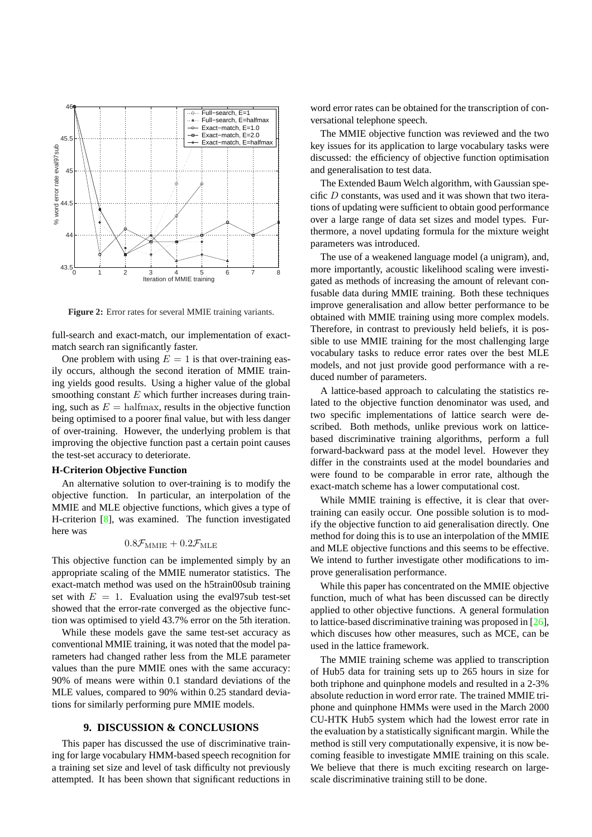

**Figure 2:** Error rates for several MMIE training variants.

full-search and exact-match, our implementation of exactmatch search ran significantly faster.

One problem with using  $E = 1$  is that over-training easily occurs, although the second iteration of MMIE training yields good results. Using a higher value of the global smoothing constant  $E$  which further increases during training, such as  $E = \text{halfmax}$ , results in the objective function being optimised to a poorer final value, but with less danger of over-training. However, the underlying problem is that improving the objective function past a certain point causes the test-set accuracy to deteriorate.

# **H-Criterion Objective Function**

An alternative solution to over-training is to modify the objective function. In particular, an interpolation of the MMIE and MLE objective functions, which gives a type of H-criterion [8], was examined. The function investigated here was

# $0.8\mathcal{F}_{\text{MMIE}} + 0.2\mathcal{F}_{\text{MLE}}$

This objecti[ve](#page-9-0) function can be implemented simply by an appropriate scaling of the MMIE numerator statistics. The exact-match method was used on the h5train00sub training set with  $E = 1$ . Evaluation using the evaly7sub test-set showed that the error-rate converged as the objective function was optimised to yield 43.7% error on the 5th iteration.

While these models gave the same test-set accuracy as conventional MMIE training, it was noted that the model parameters had changed rather less from the MLE parameter values than the pure MMIE ones with the same accuracy: 90% of means were within 0.1 standard deviations of the MLE values, compared to 90% within 0.25 standard deviations for similarly performing pure MMIE models.

## **9. DISCUSSION & CONCLUSIONS**

This paper has discussed the use of discriminative training for large vocabulary HMM-based speech recognition for a training set size and level of task difficulty not previously attempted. It has been shown that significant reductions in word error rates can be obtained for the transcription of conversational telephone speech.

The MMIE objective function was reviewed and the two key issues for its application to large vocabulary tasks were discussed: the efficiency of objective function optimisation and generalisation to test data.

The Extended Baum Welch algorithm, with Gaussian specific D constants, was used and it was shown that two iterations of updating were sufficient to obtain good performance over a large range of data set sizes and model types. Furthermore, a novel updating formula for the mixture weight parameters was introduced.

The use of a weakened language model (a unigram), and, more importantly, acoustic likelihood scaling were investigated as methods of increasing the amount of relevant confusable data during MMIE training. Both these techniques improve generalisation and allow better performance to be obtained with MMIE training using more complex models. Therefore, in contrast to previously held beliefs, it is possible to use MMIE training for the most challenging large vocabulary tasks to reduce error rates over the best MLE models, and not just provide good performance with a reduced number of parameters.

A lattice-based approach to calculating the statistics related to the objective function denominator was used, and two specific implementations of lattice search were described. Both methods, unlike previous work on latticebased discriminative training algorithms, perform a full forward-backward pass at the model level. However they differ in the constraints used at the model boundaries and were found to be comparable in error rate, although the exact-match scheme has a lower computational cost.

While MMIE training is effective, it is clear that overtraining can easily occur. One possible solution is to modify the objective function to aid generalisation directly. One method for doing this is to use an interpolation of the MMIE and MLE objective functions and this seems to be effective. We intend to further investigate other modifications to improve generalisation performance.

While this paper has concentrated on the MMIE objective function, much of what has been discussed can be directly applied to other objective functions. A general formulation to lattice-based discriminative training was proposed in [26], which discuses how other measures, such as MCE, can be used in the lattice framework.

The MMIE training scheme was applied to transcription of Hub5 data for training sets up to 265 hours in si[ze f](#page-9-0)or both triphone and quinphone models and resulted in a 2-3% absolute reduction in word error rate. The trained MMIE triphone and quinphone HMMs were used in the March 2000 CU-HTK Hub5 system which had the lowest error rate in the evaluation by a statistically significant margin. While the method is still very computationally expensive, it is now becoming feasible to investigate MMIE training on this scale. We believe that there is much exciting research on largescale discriminative training still to be done.